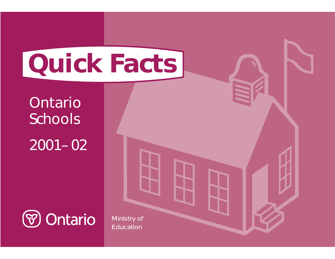# **Quick Facts**

Ontario Schools

2001– 02



Ministry of Education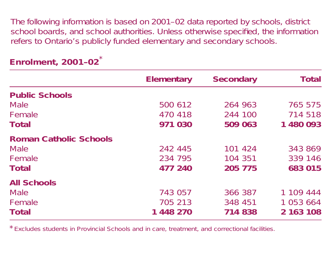The following information is based on 2001–02 data reported by schools, district school boards, and school authorities. Unless otherwise specified, the information refers to Ontario's publicly funded elementary and secondary schools.

|                               | <b>Elementary</b> | <b>Secondary</b> | <b>Total</b> |
|-------------------------------|-------------------|------------------|--------------|
| <b>Public Schools</b>         |                   |                  |              |
| Male                          | 500 612           | 264 963          | 765 575      |
| Female                        | 470 418           | 244 100          | 714 518      |
| Total                         | 971 030           | 509 063          | 1 480 093    |
| <b>Roman Catholic Schools</b> |                   |                  |              |
| Male                          | 242 445           | 101 424          | 343 869      |
| Female                        | 234 795           | 104 351          | 339 146      |
| <b>Total</b>                  | 477 240           | 205 775          | 683 015      |
| <b>All Schools</b>            |                   |                  |              |
| Male                          | 743 057           | 366 387          | 1 109 444    |
| Female                        | 705 213           | 348 451          | 1 053 664    |
| Total                         | 1 448 270         | 714 838          | 2 163 108    |

## **Enrolment, 2001–02** \*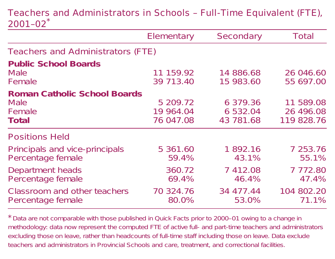#### Teachers and Administrators in Schools – Full-Time Equivalent (FTE), 2001–02\*

|                                                                       | Elementary                         | Secondary                         | Total                                |
|-----------------------------------------------------------------------|------------------------------------|-----------------------------------|--------------------------------------|
| Teachers and Administrators (FTE)                                     |                                    |                                   |                                      |
| <b>Public School Boards</b><br><b>Male</b><br>Female                  | 11 159.92<br>39 713.40             | 14 886.68<br>15 983.60            | 26 046.60<br>55 697.00               |
| <b>Roman Catholic School Boards</b><br><b>Male</b><br>Female<br>Total | 5 209.72<br>19 964.04<br>76 047.08 | 6 379.36<br>6 532.04<br>43 781.68 | 11 589.08<br>26 496.08<br>119 828.76 |
| <b>Positions Held</b>                                                 |                                    |                                   |                                      |
| Principals and vice-principals<br>Percentage female                   | 5 361.60<br>59.4%                  | 1892.16<br>43.1%                  | 7 253.76<br>55.1%                    |
| Department heads<br>Percentage female                                 | 360.72<br>69.4%                    | 7 412.08<br>46.4%                 | 7772.80<br>47.4%                     |
| Classroom and other teachers<br>Percentage female                     | 70 324.76<br>80.0%                 | 34 477.44<br>53.0%                | 104 802.20<br>71.1%                  |

\*Data are not comparable with those published in Quick Facts prior to 2000–01 owing to <sup>a</sup> change in methodology: data now represent the computed FTE of active full- and part-time teachers and administrators *excluding those on leave*, rather than headcounts of full-time staff *including those on leave*. Data exclude teachers and administrators in Provincial Schools and care, treatment, and correctional facilities.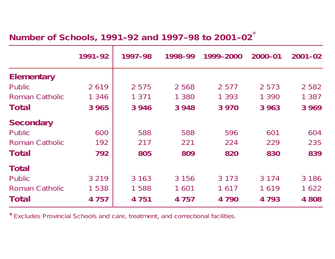#### **Number of Schools, 1991–92 and 1997–98 to 2001–02** \*

|                       | 1991-92 | 1997-98 | 1998-99 | 1999-2000 | 2000-01 | $2001 - 02$ |
|-----------------------|---------|---------|---------|-----------|---------|-------------|
| <b>Elementary</b>     |         |         |         |           |         |             |
| <b>Public</b>         | 2619    | 2 5 7 5 | 2 5 6 8 | 2 5 7 7   | 2 5 7 3 | 2 5 8 2     |
| Roman Catholic        | 1 3 4 6 | 1 371   | 1 3 8 0 | 1 3 9 3   | 1 3 9 0 | 1 3 8 7     |
| Total                 | 3 9 6 5 | 3 9 4 6 | 3 9 4 8 | 3 9 7 0   | 3 9 6 3 | 3 9 6 9     |
| <b>Secondary</b>      |         |         |         |           |         |             |
| Public                | 600     | 588     | 588     | 596       | 601     | 604         |
| <b>Roman Catholic</b> | 192     | 217     | 221     | 224       | 229     | 235         |
| Total                 | 792     | 805     | 809     | 820       | 830     | 839         |
| <b>Total</b>          |         |         |         |           |         |             |
| Public                | 3 2 1 9 | 3 1 6 3 | 3 1 5 6 | 3 1 7 3   | 3 1 7 4 | 3 1 8 6     |
| <b>Roman Catholic</b> | 1 5 3 8 | 1588    | 1 601   | 1617      | 1619    | 1 622       |
| Total                 | 4 7 5 7 | 4 7 5 1 | 4 7 5 7 | 4 7 9 0   | 4 7 9 3 | 4 808       |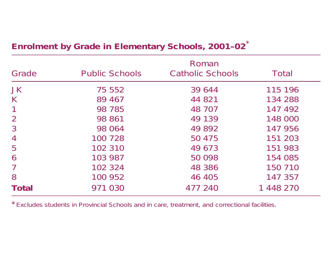| Grade          | <b>Public Schools</b> | Roman<br><b>Catholic Schools</b> | Total     |
|----------------|-----------------------|----------------------------------|-----------|
| <b>JK</b>      | 75 552                | 39 644                           | 115 196   |
| K              | 89 467                | 44 821                           | 134 288   |
| 1              | 98 785                | 48 707                           | 147 492   |
| $\overline{2}$ | 98 861                | 49 139                           | 148 000   |
| 3              | 98 064                | 49 892                           | 147 956   |
| $\overline{4}$ | 100 728               | 50 475                           | 151 203   |
| 5              | 102 310               | 49 673                           | 151 983   |
| 6              | 103 987               | 50 098                           | 154 085   |
| 7              | 102 324               | 48 386                           | 150 710   |
| 8              | 100 952               | 46 405                           | 147 357   |
| Total          | 971 030               | 477 240                          | 1 448 270 |

# **Enrolment by Grade in Elementary Schools, 2001–02** \*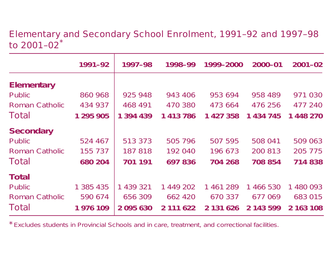Elementary and Secondary School Enrolment, 1991–92 and 1997–98 to 2001–02\*

|                       | 1991-92   | 1997-98       | 1998-99   | 1999-2000 | 2000-01   | $2001 - 02$ |
|-----------------------|-----------|---------------|-----------|-----------|-----------|-------------|
| <b>Elementary</b>     |           |               |           |           |           |             |
| Public                | 860 968   | 925 948       | 943 406   | 953 694   | 958 489   | 971 030     |
| <b>Roman Catholic</b> | 434 937   | 468 491       | 470 380   | 473 664   | 476 256   | 477 240     |
| Total                 | 1 295 905 | 1 394 439     | 1 413 786 | 1 427 358 | 1 434 745 | 1 448 270   |
| <b>Secondary</b>      |           |               |           |           |           |             |
| Public                | 524 467   | 513 373       | 505 796   | 507 595   | 508 041   | 509 063     |
| <b>Roman Catholic</b> | 155 737   | 187 818       | 192 040   | 196 673   | 200 813   | 205 775     |
| Total                 | 680 204   | 701 191       | 697836    | 704 268   | 708 854   | 714 838     |
| <b>Total</b>          |           |               |           |           |           |             |
| Public                | 1 385 435 | 1 439 321     | 1 449 202 | 1 461 289 | 1 466 530 | 1 480 093   |
| <b>Roman Catholic</b> | 590 674   | 656 309       | 662 420   | 670 337   | 677 069   | 683 015     |
| Total                 | 1 976 109 | 2 0 9 5 6 3 0 | 2 111 622 | 2 131 626 | 2 143 599 | 2 163 108   |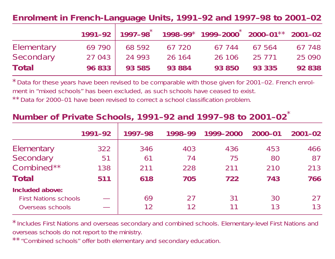#### **Enrolment in French-Language Units, 1991–92 and 1997–98 to 2001–02**

|            |                      |        | $1991-92$   $1997-98$ $*$ $1998-99$ $*$ $1999-2000$ $*$ 2000-01 $*$ $*$ 2001-02 |               |        |
|------------|----------------------|--------|---------------------------------------------------------------------------------|---------------|--------|
| Elementary | 69 790 68 592 67 720 |        |                                                                                 | 67 744 67 564 | 67 748 |
| Secondary  | 27 043 24 993        | 26 164 | 26 106                                                                          | 25 7 7 1      | 25 090 |
| Total      | 96 833 93 585        | 93 884 |                                                                                 | 93 850 93 335 | 92 838 |

\*Data for these years have been revised to be comparable with those given for 2001–02. French enrolment in "mixed schools" has been excluded, as such schools have ceased to exist. \*\*Data for 2000–01 have been revised to correct <sup>a</sup> school classification problem.

### **Number of Private Schools, 1991–92 and 1997–98 to 2001–02** \*

|                                                  | 1991-92 | 1997-98        | 1998-99   | 1999-2000 | 2000-01  | $2001 - 02$ |
|--------------------------------------------------|---------|----------------|-----------|-----------|----------|-------------|
| Elementary                                       | 322     | 346            | 403       | 436       | 453      | 466         |
| Secondary                                        | 51      | 6 <sup>1</sup> | 74        | 75        | 80       | 87          |
| Combined**                                       | 138     | 211            | 228       | 211       | 210      | 213         |
| Total                                            | 511     | 618            | 705       | 722       | 743      | 766         |
| Included above:                                  |         |                |           |           |          |             |
| <b>First Nations schools</b><br>Overseas schools |         | 69             | 27<br>  2 | 31        | 30<br>13 | 27<br>13    |

\*Includes First Nations and overseas secondary and combined schools. Elementary-level First Nations and overseas schools do not report to the ministry.

\*\*"Combined schools" offer both elementary and secondary education.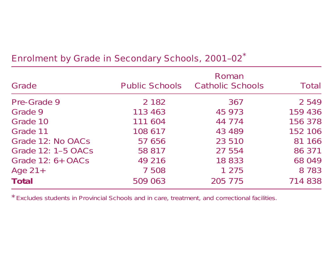| Grade               | <b>Public Schools</b> | Roman<br><b>Catholic Schools</b> | Total   |
|---------------------|-----------------------|----------------------------------|---------|
| Pre-Grade 9         | 2 1 8 2               | 367                              | 2 5 4 9 |
| Grade 9             | 113 463               | 45 973                           | 159 436 |
| Grade 10            | 111 604               | 44 774                           | 156 378 |
| Grade 11            | 108 617               | 43 489                           | 152 106 |
| Grade 12: No OACs   | 57 656                | 23 510                           | 81 166  |
| Grade 12: 1-5 OACs  | 58 817                | 27 554                           | 86 371  |
| Grade $12: 6+ OACS$ | 49 216                | 18 833                           | 68 049  |
| Age $21+$           | 7 508                 | 1 2 7 5                          | 8 7 8 3 |
| <b>Total</b>        | 509 063               | 205 775                          | 714 838 |

# Enrolment by Grade in Secondary Schools, 2001–02 \*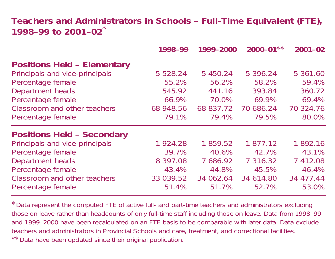#### **Teachers and Administrators in Schools – Full-Time Equivalent (FTE), 1998–99 to 2001–02**\*

|                                    | 1998-99       | 1999-2000 | $2000 - 01**$ | $2001 - 02$ |
|------------------------------------|---------------|-----------|---------------|-------------|
| <b>Positions Held - Elementary</b> |               |           |               |             |
| Principals and vice-principals     | 5 5 2 8 . 2 4 | 5 450.24  | 5 396.24      | 5 361.60    |
| Percentage female                  | 55.2%         | 56.2%     | 58.2%         | 59.4%       |
| Department heads                   | 545.92        | 441.16    | 393.84        | 360.72      |
| Percentage female                  | 66.9%         | 70.0%     | 69.9%         | 69.4%       |
| Classroom and other teachers       | 68 948.56     | 68 837.72 | 70 686.24     | 70 324.76   |
| Percentage female                  | 79.1%         | 79.4%     | 79.5%         | 80.0%       |
| <b>Positions Held - Secondary</b>  |               |           |               |             |
| Principals and vice-principals     | 1924.28       | 1 859.52  | 1 877.12      | 1892.16     |
| Percentage female                  | 39.7%         | 40.6%     | 42.7%         | 43.1%       |
| Department heads                   | 8 397.08      | 7 686.92  | 7 3 1 6 . 3 2 | 7 412.08    |
| Percentage female                  | 43.4%         | 44.8%     | 45.5%         | 46.4%       |
| Classroom and other teachers       | 33 039.52     | 34 062.64 | 34 614.80     | 34 477.44   |
| Percentage female                  | 51.4%         | 51.7%     | 52.7%         | 53.0%       |

\*Data represent the computed FTE of active full- and part-time teachers and administrators *excluding those on leave* rather than headcounts of *only* full-time staff *including those on leave*. Data from 1998–99 and 1999–2000 have been recalculated on an FTE basis to be comparable with later data. Data exclude teachers and administrators in Provincial Schools and care, treatment, and correctional facilities. \*\*Data have been updated since their original publication.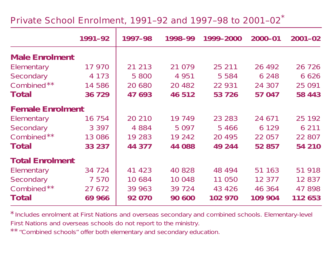#### Private School Enrolment, 1991–92 and 1997–98 to 2001–02 \*

|                         | 1991-92 | 1997-98 | 1998-99  | 1999-2000 | $2000 - 01$ | $2001 - 02$ |
|-------------------------|---------|---------|----------|-----------|-------------|-------------|
| <b>Male Enrolment</b>   |         |         |          |           |             |             |
| Elementary              | 17 970  | 21 213  | 21 0 79  | 25 211    | 26 4 9 2    | 26 7 26     |
| Secondary               | 4 1 7 3 | 5 800   | 4 9 5 1  | 5 5 8 4   | 6 2 4 8     | 6 6 2 6     |
| Combined**              | 14 586  | 20 680  | 20 4 8 2 | 22 931    | 24 307      | 25 091      |
| Total                   | 36 729  | 47 693  | 46 512   | 53 726    | 57 047      | 58 443      |
| <b>Female Enrolment</b> |         |         |          |           |             |             |
| Elementary              | 16 754  | 20 210  | 19 749   | 23 283    | 24 671      | 25 192      |
| Secondary               | 3 3 9 7 | 4 8 8 4 | 5 0 9 7  | 5466      | 6 1 2 9     | 6 2 1 1     |
| Combined**              | 13 086  | 19 283  | 19 24 2  | 20 4 9 5  | 22 057      | 22 807      |
| Total                   | 33 237  | 44 377  | 44 088   | 49 244    | 52 857      | 54 210      |
| <b>Total Enrolment</b>  |         |         |          |           |             |             |
| Elementary              | 34 7 24 | 41 423  | 40 828   | 48 494    | 51 163      | 51 918      |
| Secondary               | 7 5 7 0 | 10 684  | 10 048   | 11 050    | 12 377      | 12 837      |
| Combined**              | 27 672  | 39 963  | 39 7 24  | 43 4 26   | 46 364      | 47 898      |
| Total                   | 69 966  | 92 070  | 90 600   | 102 970   | 109 904     | 112 653     |

\*Includes enrolment at First Nations and overseas secondary and combined schools. Elementary-level First Nations and overseas schools do not report to the ministry.

\*\*"Combined schools" offer both elementary and secondary education.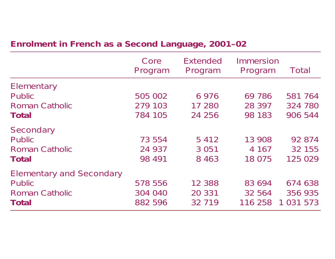### **Enrolment in French as <sup>a</sup> Second Language, 2001–02**

|                                                                                    | Core<br>Program               | <b>Extended</b><br>Program   | Immersion<br>Program        | Total                               |
|------------------------------------------------------------------------------------|-------------------------------|------------------------------|-----------------------------|-------------------------------------|
| Elementary<br><b>Public</b><br><b>Roman Catholic</b><br>Total                      | 505 002<br>279 103<br>784 105 | 6976<br>17 280<br>24 256     | 69 786<br>28 397<br>98 183  | 581 764<br>324 780<br>906 544       |
| Secondary<br><b>Public</b><br><b>Roman Catholic</b><br>Total                       | 73 554<br>24 937<br>98 4 91   | 5412<br>3 0 5 1<br>8 4 6 3   | 13 908<br>4 167<br>18 075   | 92 874<br>32 155<br>125 029         |
| <b>Elementary and Secondary</b><br><b>Public</b><br><b>Roman Catholic</b><br>Total | 578 556<br>304 040<br>882 596 | 12 3 8 8<br>20 331<br>32 719 | 83 694<br>32 564<br>116 258 | 674 638<br>356 935<br>1 0 3 1 5 7 3 |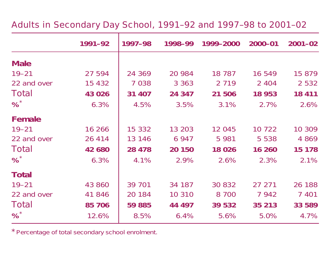#### Adults in Secondary Day School, 1991–92 and 1997–98 to 2001–02

|              | 1991-92  | 1997-98 | 1998-99 | 1999-2000 | $2000 - 01$ | $2001 - 02$ |
|--------------|----------|---------|---------|-----------|-------------|-------------|
| <b>Male</b>  |          |         |         |           |             |             |
| $19 - 21$    | 27 594   | 24 369  | 20 984  | 18 7 8 7  | 16 549      | 15 879      |
| 22 and over  | 15 4 3 2 | 7 0 3 8 | 3 3 6 3 | 2 7 1 9   | 2 4 0 4     | 2 5 3 2     |
| Total        | 43 0 26  | 31 407  | 24 347  | 21 506    | 18 953      | 18 411      |
| %            | 6.3%     | 4.5%    | 3.5%    | 3.1%      | 2.7%        | 2.6%        |
| Female       |          |         |         |           |             |             |
| $19 - 21$    | 16 266   | 15 332  | 13 203  | 12 045    | 10 7 22     | 10 309      |
| 22 and over  | 26 4 14  | 13 146  | 6 9 4 7 | 5 9 8 1   | 5 5 3 8     | 4 8 6 9     |
| Total        | 42 680   | 28 478  | 20 150  | 18 0 26   | 16 260      | 15 178      |
| %            | 6.3%     | 4.1%    | 2.9%    | 2.6%      | 2.3%        | 2.1%        |
| <b>Total</b> |          |         |         |           |             |             |
| $19 - 21$    | 43 860   | 39 701  | 34 187  | 30 832    | 27 271      | 26 188      |
| 22 and over  | 41 846   | 20 184  | 10 310  | 8 700     | 7 942       | 7 4 0 1     |
| Total        | 85 706   | 59 885  | 44 497  | 39 532    | 35 213      | 33 589      |
| %            | 12.6%    | 8.5%    | 6.4%    | 5.6%      | 5.0%        | 4.7%        |

\*Percentage of total secondary school enrolment.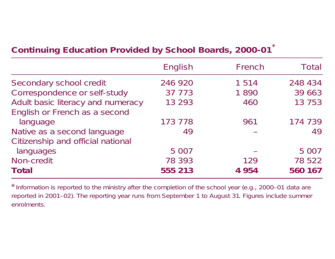# **Continuing Education Provided by School Boards, 2000-01** \*

|                                   | English | French  | Total   |
|-----------------------------------|---------|---------|---------|
| Secondary school credit           | 246 920 | 1 5 1 4 | 248 434 |
| Correspondence or self-study      | 37 773  | 1890    | 39 663  |
| Adult basic literacy and numeracy | 13 293  | 460     | 13 753  |
| English or French as a second     |         |         |         |
| language                          | 173 778 | 961     | 174 739 |
| Native as a second language       | 49      |         | 49      |
| Citizenship and official national |         |         |         |
| languages                         | 5 0 0 7 |         | 5 0 0 7 |
| Non-credit                        | 78 393  | 129     | 78 522  |
| Total                             | 555 213 | 4 9 5 4 | 560 167 |

\*Information is reported to the ministry after the completion of the school year (e.g., 2000–01 data are reported in 2001–02). The reporting year runs from September <sup>1</sup> to August 31. Figures include summer enrolments.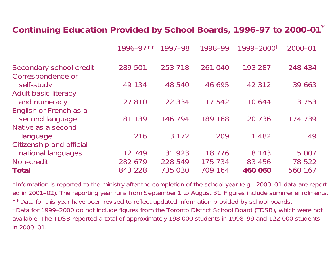#### **Continuing Education Provided by School Boards, 1996-97 to 2000-01** \*

|                                              | $1996 - 97**$ | 1997-98  | 1998-99  | $1999 - 2000^{\dagger}$ | $2000 - 01$ |
|----------------------------------------------|---------------|----------|----------|-------------------------|-------------|
| Secondary school credit<br>Correspondence or | 289 501       | 253 718  | 261 040  | 193 287                 | 248 434     |
| self-study                                   | 49 134        | 48 540   | 46 695   | 42 312                  | 39 663      |
| <b>Adult basic literacy</b><br>and numeracy  | 27 810        | 22 3 3 4 | 17 542   | 10644                   | 13 7 5 3    |
| English or French as a<br>second language    | 181 139       | 146 794  | 189 168  | 120 736                 | 174 739     |
| Native as a second                           |               |          |          |                         |             |
| language<br>Citizenship and official         | 216           | 3 1 7 2  | 209      | 1482                    | 49          |
| national languages                           | 12 749        | 31 923   | 18 7 7 6 | 8 1 4 3                 | 5 0 0 7     |
| Non-credit                                   | 282 679       | 228 549  | 175 734  | 83 456                  | 78 522      |
| <b>Total</b>                                 | 843 228       | 735 030  | 709 164  | 460 060                 | 560 167     |

\*Information is reported to the ministry after the completion of the school year (e.g., 2000–01 data are reported in 2001–02). The reporting year runs from September <sup>1</sup> to August 31. Figures include summer enrolments. \*\*Data for this year have been revised to reflect updated information provided by school boards. †Data for 1999–2000 do not include figures from the Toronto District School Board (TDSB), which were not available. The TDSB reported <sup>a</sup> total of approximately 198 000 students in 1998–99 and 122 000 students in 2000–01.